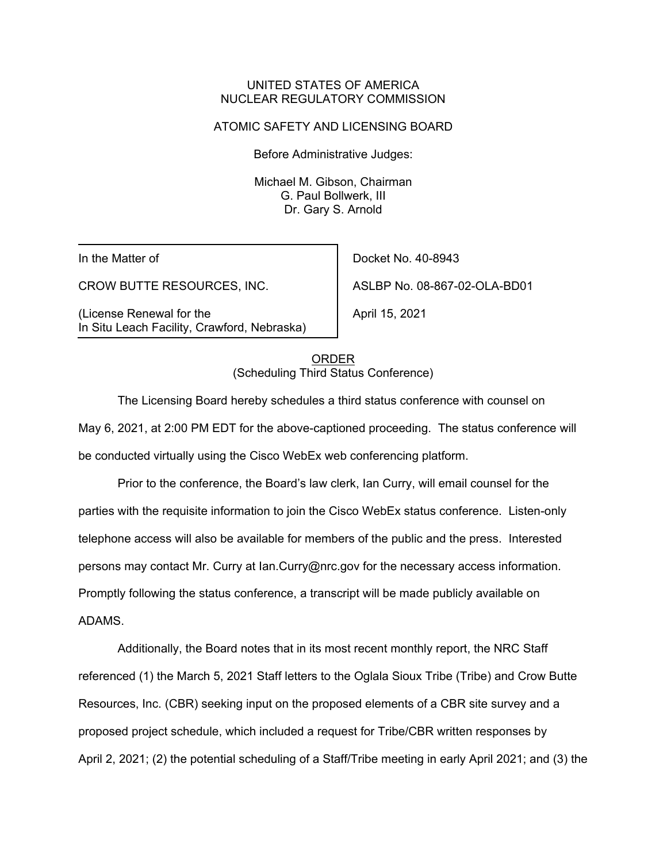#### UNITED STATES OF AMERICA NUCLEAR REGULATORY COMMISSION

### ATOMIC SAFETY AND LICENSING BOARD

Before Administrative Judges:

Michael M. Gibson, Chairman G. Paul Bollwerk, III Dr. Gary S. Arnold

In the Matter of

CROW BUTTE RESOURCES, INC.

(License Renewal for the In Situ Leach Facility, Crawford, Nebraska)

Docket No. 40-8943 ASLBP No. 08-867-02-OLA-BD01

April 15, 2021

ORDER (Scheduling Third Status Conference)

The Licensing Board hereby schedules a third status conference with counsel on May 6, 2021, at 2:00 PM EDT for the above-captioned proceeding. The status conference will be conducted virtually using the Cisco WebEx web conferencing platform.

Prior to the conference, the Board's law clerk, Ian Curry, will email counsel for the parties with the requisite information to join the Cisco WebEx status conference. Listen-only telephone access will also be available for members of the public and the press. Interested persons may contact Mr. Curry at Ian.Curry@nrc.gov for the necessary access information. Promptly following the status conference, a transcript will be made publicly available on ADAMS.

Additionally, the Board notes that in its most recent monthly report, the NRC Staff referenced (1) the March 5, 2021 Staff letters to the Oglala Sioux Tribe (Tribe) and Crow Butte Resources, Inc. (CBR) seeking input on the proposed elements of a CBR site survey and a proposed project schedule, which included a request for Tribe/CBR written responses by April 2, 2021; (2) the potential scheduling of a Staff/Tribe meeting in early April 2021; and (3) the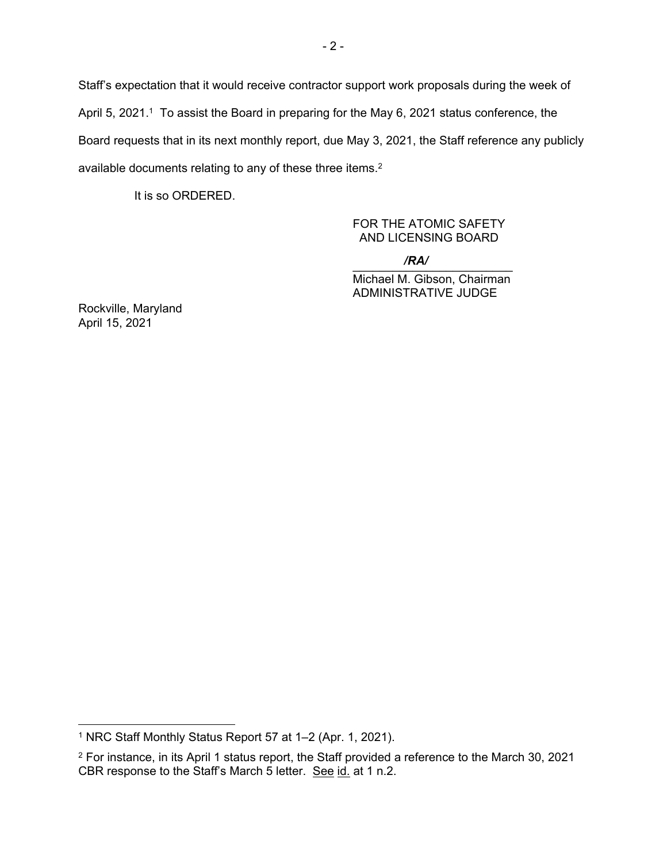Staff's expectation that it would receive contractor support work proposals during the week of April 5, 2021.<sup>1</sup> To assist the Board in preparing for the May 6, 2021 status conference, the Board requests that in its next monthly report, due May 3, 2021, the Staff reference any publicly available documents relating to any of these three items.<sup>2</sup>

It is so ORDERED.

# FOR THE ATOMIC SAFETY AND LICENSING BOARD

 $\sqrt{R}$ */RA/*

Michael M. Gibson, Chairman ADMINISTRATIVE JUDGE

Rockville, Maryland April 15, 2021

<sup>1</sup> NRC Staff Monthly Status Report 57 at 1–2 (Apr. 1, 2021).

<sup>2</sup> For instance, in its April 1 status report, the Staff provided a reference to the March 30, 2021 CBR response to the Staff's March 5 letter. See id. at 1 n.2.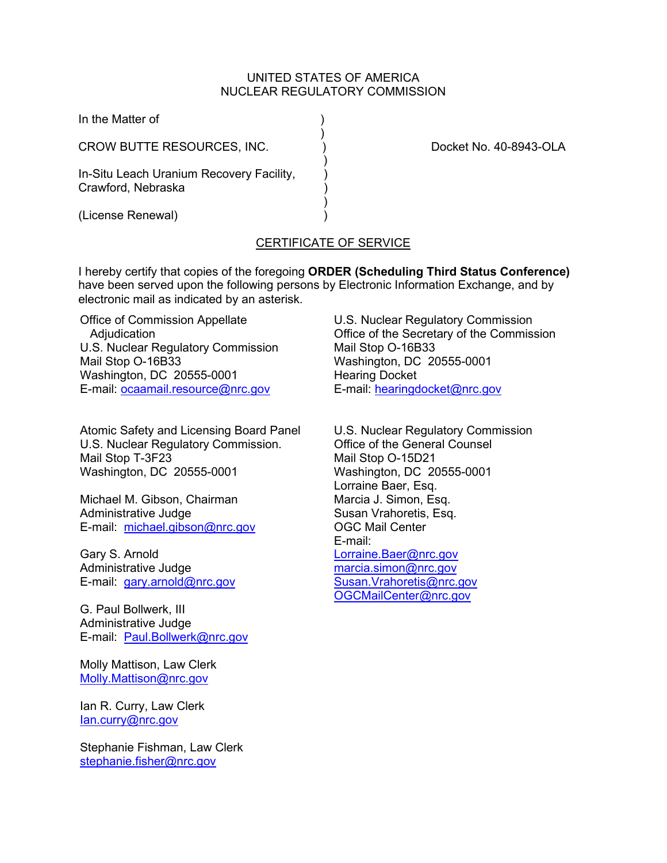### UNITED STATES OF AMERICA NUCLEAR REGULATORY COMMISSION

| In the Matter of                                               |                        |
|----------------------------------------------------------------|------------------------|
| CROW BUTTE RESOURCES, INC.                                     | Docket No. 40-8943-OLA |
| In-Situ Leach Uranium Recovery Facility,<br>Crawford, Nebraska |                        |
| (License Renewal)                                              |                        |

# CERTIFICATE OF SERVICE

I hereby certify that copies of the foregoing **ORDER (Scheduling Third Status Conference)** have been served upon the following persons by Electronic Information Exchange, and by electronic mail as indicated by an asterisk.

Office of Commission Appellate Adjudication U.S. Nuclear Regulatory Commission Mail Stop O-16B33 Washington, DC 20555-0001 E-mail: [ocaamail.resource@nrc.gov](mailto:ocaamail.resource@nrc.gov)

Atomic Safety and Licensing Board Panel U.S. Nuclear Regulatory Commission. Mail Stop T-3F23 Washington, DC 20555-0001

Michael M. Gibson, Chairman Administrative Judge E-mail: [michael.gibson@nrc.gov](mailto:michael.gibson@nrc.gov)

Gary S. Arnold Administrative Judge E-mail: [gary.arnold@nrc.gov](mailto:gary.arnold@nrc.gov)

G. Paul Bollwerk, III Administrative Judge E-mail: [Paul.Bollwerk@nrc.gov](mailto:Paul.Bollwerk@nrc.gov)

Molly Mattison, Law Clerk [Molly.Mattison@nrc.gov](mailto:Molly.Mattison@nrc.gov)

Ian R. Curry, Law Clerk [Ian.curry@nrc.gov](mailto:Ian.curry@nrc.gov)

Stephanie Fishman, Law Clerk [stephanie.fisher@nrc.gov](mailto:stephanie.fisher@nrc.gov)

U.S. Nuclear Regulatory Commission Office of the Secretary of the Commission Mail Stop O-16B33 Washington, DC 20555-0001 Hearing Docket E-mail: [hearingdocket@nrc.gov](mailto:hearingdocket@nrc.gov)

U.S. Nuclear Regulatory Commission Office of the General Counsel Mail Stop O-15D21 Washington, DC 20555-0001 Lorraine Baer, Esq. Marcia J. Simon, Esq. Susan Vrahoretis, Esq. OGC Mail Center E-mail: [Lorraine.Baer@nrc.gov](mailto:Lorraine.Baer@nrc.gov) [marcia.simon@nrc.gov](mailto:marcia.simon@nrc.gov) [Susan.Vrahoretis@nrc.gov](mailto:Susan.Vrahoretis@nrc.gov) [OGCMailCenter@nrc.gov](mailto:OGCMailCenter@nrc.go)